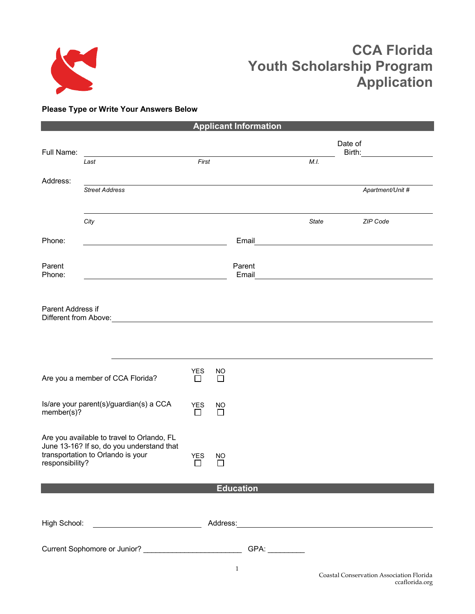

# **CCA Florida Youth Scholarship Program Application**

# **Please Type or Write Your Answers Below**

| <b>Applicant Information</b>                                                   |                                            |                            |                           |                  |       |                  |  |
|--------------------------------------------------------------------------------|--------------------------------------------|----------------------------|---------------------------|------------------|-------|------------------|--|
|                                                                                |                                            |                            |                           |                  |       | Date of          |  |
| Full Name:                                                                     | Last                                       | First                      |                           |                  | M.I.  | Birth:           |  |
| Address:                                                                       |                                            |                            |                           |                  |       |                  |  |
|                                                                                | <b>Street Address</b>                      |                            |                           |                  |       | Apartment/Unit # |  |
|                                                                                |                                            |                            |                           |                  |       |                  |  |
|                                                                                | City                                       |                            |                           |                  | State | ZIP Code         |  |
| Phone:                                                                         |                                            |                            |                           | Email            |       |                  |  |
|                                                                                |                                            |                            |                           |                  |       |                  |  |
| Parent<br>Phone:                                                               |                                            |                            |                           | Parent<br>Email  |       |                  |  |
|                                                                                |                                            |                            |                           |                  |       |                  |  |
| Parent Address if<br>Different from Above:                                     |                                            |                            |                           |                  |       |                  |  |
|                                                                                |                                            |                            |                           |                  |       |                  |  |
|                                                                                |                                            |                            |                           |                  |       |                  |  |
|                                                                                |                                            |                            |                           |                  |       |                  |  |
|                                                                                | Are you a member of CCA Florida?           | <b>YES</b><br>$\mathsf{L}$ | <b>NO</b><br>$\mathsf{L}$ |                  |       |                  |  |
| Is/are your parent(s)/guardian(s) a CCA<br>member(s)?                          |                                            | <b>YES</b>                 | <b>NO</b>                 |                  |       |                  |  |
|                                                                                |                                            | $\perp$                    | $\mathsf{L}$              |                  |       |                  |  |
|                                                                                | Are you available to travel to Orlando, FL |                            |                           |                  |       |                  |  |
| June 13-16? If so, do you understand that<br>transportation to Orlando is your |                                            | <b>YES</b>                 | NO                        |                  |       |                  |  |
| responsibility?                                                                |                                            | $\mathsf{L}$               | П                         |                  |       |                  |  |
|                                                                                |                                            |                            |                           | <b>Education</b> |       |                  |  |
|                                                                                |                                            |                            |                           |                  |       |                  |  |
|                                                                                |                                            |                            |                           |                  |       |                  |  |
| Current Sophomore or Junior? ______________________________GPA: ___________    |                                            |                            |                           |                  |       |                  |  |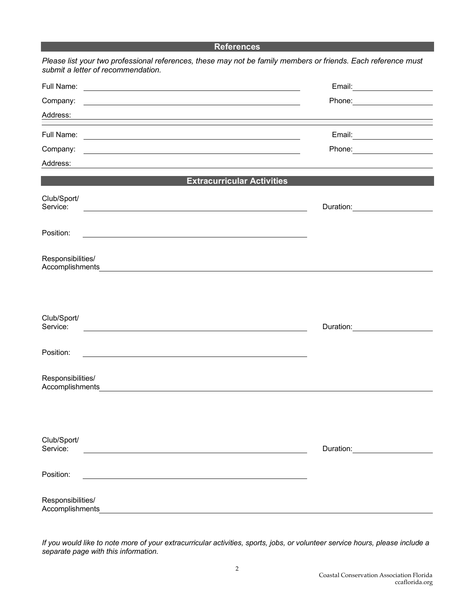#### **References**

| submit a letter of recommendation.                                                                                                                                                                                                               | Please list your two professional references, these may not be family members or friends. Each reference must |
|--------------------------------------------------------------------------------------------------------------------------------------------------------------------------------------------------------------------------------------------------|---------------------------------------------------------------------------------------------------------------|
| Full Name:                                                                                                                                                                                                                                       |                                                                                                               |
| Company:<br><u> 1980 - Johann Barn, mars ann an t-Amhain Aonaich an t-Aonaich an t-Aonaich an t-Aonaich an t-Aonaich an t-Aon</u>                                                                                                                |                                                                                                               |
| Address:<br><u> 1989 - Johann Stoff, deutscher Stoffen und der Stoffen und der Stoffen und der Stoffen und der Stoffen und der</u>                                                                                                               |                                                                                                               |
|                                                                                                                                                                                                                                                  |                                                                                                               |
| Company:<br><u>state and the state of the state of the state of the state of the state of the state of the state of the state of the state of the state of the state of the state of the state of the state of the state of the state of the</u> |                                                                                                               |
| Address:                                                                                                                                                                                                                                         |                                                                                                               |
|                                                                                                                                                                                                                                                  | <b>Extracurricular Activities</b>                                                                             |
| Club/Sport/<br>Service:                                                                                                                                                                                                                          | Duration: Duration:                                                                                           |
| Position:                                                                                                                                                                                                                                        |                                                                                                               |
| Responsibilities/                                                                                                                                                                                                                                |                                                                                                               |
| Club/Sport/                                                                                                                                                                                                                                      |                                                                                                               |
| Service:                                                                                                                                                                                                                                         | Duration: Duration:                                                                                           |
| Position:                                                                                                                                                                                                                                        |                                                                                                               |
| Responsibilities/<br>Accomplishments                                                                                                                                                                                                             |                                                                                                               |
|                                                                                                                                                                                                                                                  |                                                                                                               |
| Club/Sport/<br>Service:                                                                                                                                                                                                                          | Duration: <u>_________</u>                                                                                    |
| Position:                                                                                                                                                                                                                                        |                                                                                                               |
| Responsibilities/<br>Accomplishments                                                                                                                                                                                                             |                                                                                                               |

*If you would like to note more of your extracurricular activities, sports, jobs, or volunteer service hours, please include a separate page with this information.*